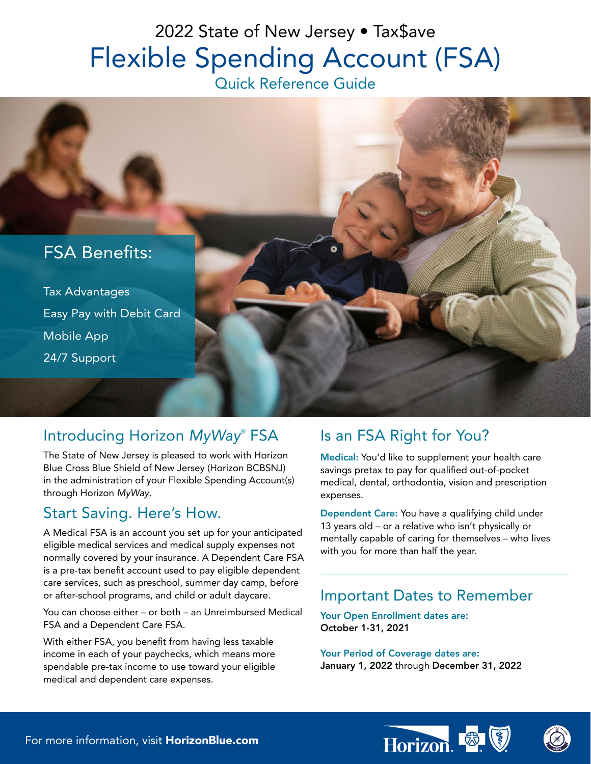# 2022 State of New Jersey • Tax\$ave Flexible Spending Account (FSA)

Quick Reference Guide



# Introducing Horizon *MyWay*® FSA

The State of New Jersey is pleased to work with Horizon Blue Cross Blue Shield of New Jersey (Horizon BCBSNJ) in the administration of your Flexible Spending Account(s) through Horizon *MyWay*.

## Start Saving. Here's How.

A Medical FSA is an account you set up for your anticipated eligible medical services and medical supply expenses not normally covered by your insurance. A Dependent Care FSA is a pre-tax benefit account used to pay eligible dependent care services, such as preschool, summer day camp, before or after-school programs, and child or adult daycare.

You can choose either – or both – an Unreimbursed Medical FSA and a Dependent Care FSA.

With either FSA, you benefit from having less taxable income in each of your paychecks, which means more spendable pre-tax income to use toward your eligible medical and dependent care expenses.

# Is an FSA Right for You?

Medical: You'd like to supplement your health care savings pretax to pay for qualified out-of-pocket medical, dental, orthodontia, vision and prescription expenses.

Dependent Care: You have a qualifying child under 13 years old – or a relative who isn't physically or mentally capable of caring for themselves – who lives with you for more than half the year.

## Important Dates to Remember

Your Open Enrollment dates are: October 1-31, 2021

Your Period of Coverage dates are: January 1, 2022 through December 31, 2022



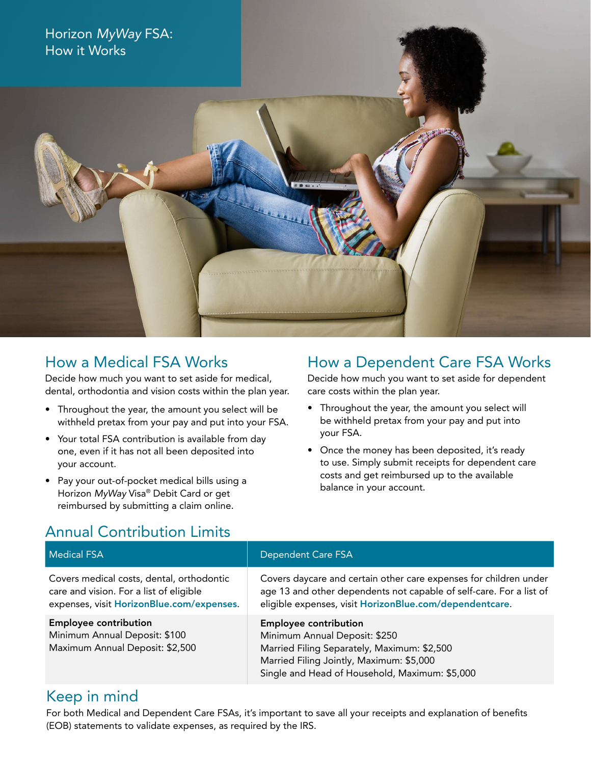

## How a Medical FSA Works

Decide how much you want to set aside for medical, dental, orthodontia and vision costs within the plan year.

- Throughout the year, the amount you select will be withheld pretax from your pay and put into your FSA.
- Your total FSA contribution is available from day one, even if it has not all been deposited into your account.
- Pay your out-of-pocket medical bills using a Horizon *MyWay* Visa® Debit Card or get reimbursed by submitting a claim online.

## How a Dependent Care FSA Works

Decide how much you want to set aside for dependent care costs within the plan year.

- Throughout the year, the amount you select will be withheld pretax from your pay and put into your FSA.
- Once the money has been deposited, it's ready to use. Simply submit receipts for dependent care costs and get reimbursed up to the available balance in your account.

# Annual Contribution Limits

| <b>Medical FSA</b>                                                                                                                | <b>Dependent Care FSA</b>                                                                                                                                                                                  |
|-----------------------------------------------------------------------------------------------------------------------------------|------------------------------------------------------------------------------------------------------------------------------------------------------------------------------------------------------------|
| Covers medical costs, dental, orthodontic<br>care and vision. For a list of eligible<br>expenses, visit HorizonBlue.com/expenses. | Covers daycare and certain other care expenses for children under<br>age 13 and other dependents not capable of self-care. For a list of<br>eligible expenses, visit HorizonBlue.com/dependentcare.        |
| <b>Employee contribution</b><br>Minimum Annual Deposit: \$100<br>Maximum Annual Deposit: \$2,500                                  | <b>Employee contribution</b><br>Minimum Annual Deposit: \$250<br>Married Filing Separately, Maximum: \$2,500<br>Married Filing Jointly, Maximum: \$5,000<br>Single and Head of Household, Maximum: \$5,000 |

#### Keep in mind

For both Medical and Dependent Care FSAs, it's important to save all your receipts and explanation of benefits (EOB) statements to validate expenses, as required by the IRS.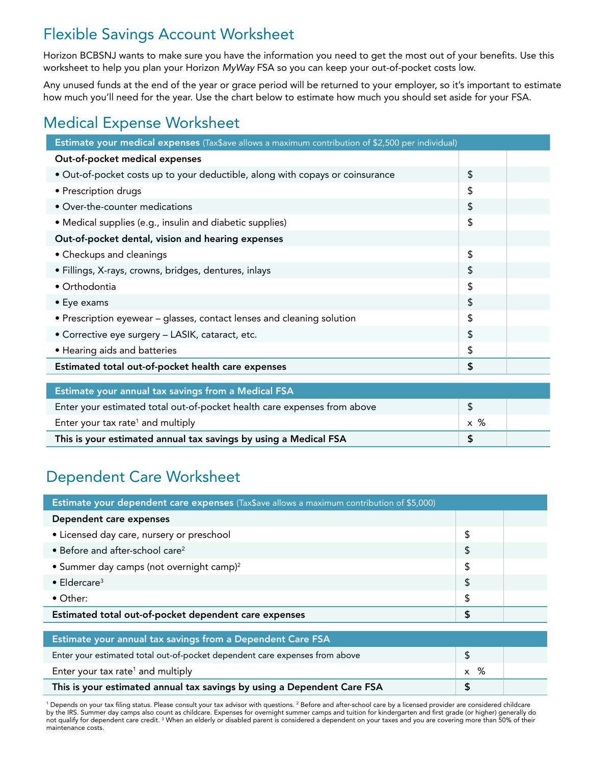# Flexible Savings Account Worksheet

Horizon BCBSNJ wants to make sure you have the information you need to get the most out of your benefits. Use this worksheet to help you plan your Horizon *MyWay* FSA so you can keep your out-of-pocket costs low.

Any unused funds at the end of the year or grace period will be returned to your employer, so it's important to estimate how much you'll need for the year. Use the chart below to estimate how much you should set aside for your FSA.

# Medical Expense Worksheet

| Estimate your medical expenses (Tax\$ave allows a maximum contribution of \$2,500 per individual) |            |  |
|---------------------------------------------------------------------------------------------------|------------|--|
| Out-of-pocket medical expenses                                                                    |            |  |
| · Out-of-pocket costs up to your deductible, along with copays or coinsurance                     |            |  |
| • Prescription drugs                                                                              | \$         |  |
| • Over-the-counter medications                                                                    | $\sqrt{2}$ |  |
| • Medical supplies (e.g., insulin and diabetic supplies)                                          | \$         |  |
| Out-of-pocket dental, vision and hearing expenses                                                 |            |  |
| • Checkups and cleanings                                                                          | \$         |  |
| · Fillings, X-rays, crowns, bridges, dentures, inlays                                             | \$         |  |
| $\bullet$ Orthodontia                                                                             | \$         |  |
| • Eye exams                                                                                       | \$         |  |
| • Prescription eyewear - glasses, contact lenses and cleaning solution                            | \$         |  |
| • Corrective eye surgery - LASIK, cataract, etc.                                                  | \$         |  |
| • Hearing aids and batteries                                                                      | \$         |  |
| Estimated total out-of-pocket health care expenses                                                |            |  |
|                                                                                                   |            |  |
| Estimate your annual tax savings from a Medical FSA                                               |            |  |
| Enter your estimated total out-of-pocket health care expenses from above                          |            |  |
|                                                                                                   |            |  |

Enter your tax rate<sup>1</sup> and multiply  $\begin{array}{|c|c|c|}\hline \end{array}$  x  $\begin{array}{|c|c|c|}\hline \end{array}$  x  $\begin{array}{|c|c|}\hline \end{array}$ This is your estimated annual tax savings by using a Medical FSA **\$** \$

# Dependent Care Worksheet

| Estimate your dependent care expenses (Tax\$ave allows a maximum contribution of \$5,000) |    |  |  |
|-------------------------------------------------------------------------------------------|----|--|--|
| Dependent care expenses                                                                   |    |  |  |
| • Licensed day care, nursery or preschool                                                 |    |  |  |
| • Before and after-school care <sup>2</sup>                                               |    |  |  |
| • Summer day camps (not overnight camp) <sup>2</sup>                                      |    |  |  |
| $\bullet$ Eldercare <sup>3</sup>                                                          | \$ |  |  |
| • Other:                                                                                  | \$ |  |  |
| Estimated total out-of-pocket dependent care expenses                                     |    |  |  |
|                                                                                           |    |  |  |
| Estimate your annual tax savings from a Dependent Care FSA                                |    |  |  |
| Enter your estimated total out-of-pocket dependent care expenses from above               |    |  |  |
| Enter your tax rate <sup>1</sup> and multiply                                             |    |  |  |
| This is your estimated annual tax savings by using a Dependent Care FSA                   |    |  |  |

<sup>1</sup> Depends on your tax filing status. Please consult your tax advisor with questions. <sup>2</sup> Before and after-school care by a licensed provider are considered childcare by the IRS. Summer day camps also count as childcare. Expenses for overnight summer camps and tuition for kindergarten and first grade (or higher) generally do not qualify for dependent care credit. <sup>3</sup> When an elderly or disabled parent is considered a dependent on your taxes and you are covering more than 50% of their maintenance costs.